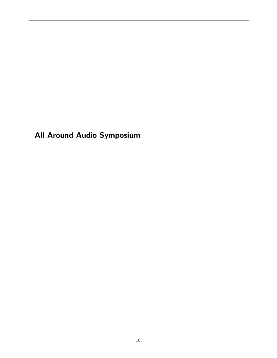All Around Audio Symposium